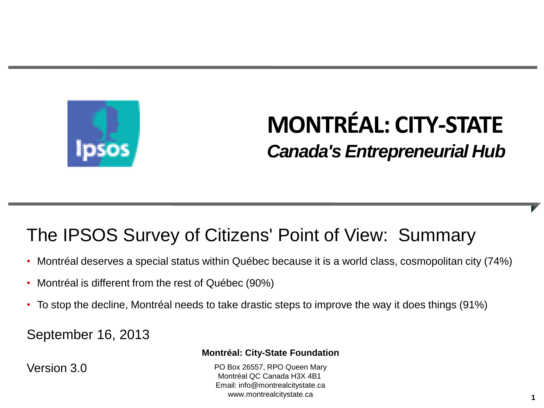

# **MONTRÉAL: CITY-STATE** *Canada's Entrepreneurial Hub*

#### The IPSOS Survey of Citizens' Point of View: Summary

- Montréal deserves a special status within Québec because it is a world class, cosmopolitan city (74%)
- Montréal is different from the rest of Québec (90%)
- To stop the decline, Montréal needs to take drastic steps to improve the way it does things (91%)

September 16, 2013

Version 3.0

#### **Montréal: City-State Foundation**

PO Box 26557, RPO Queen Mary Montréal QC Canada H3X 4B1 Email: info@montrealcitystate.ca www.montrealcitystate.ca **1**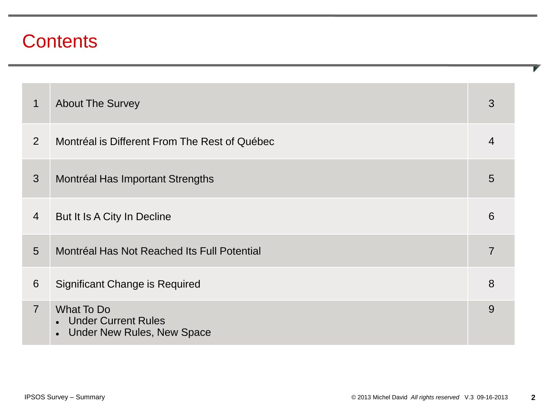#### **Contents**

| 1              | <b>About The Survey</b>                                                  | 3              |
|----------------|--------------------------------------------------------------------------|----------------|
| $\overline{2}$ | Montréal is Different From The Rest of Québec                            | 4              |
| 3              | Montréal Has Important Strengths                                         | 5              |
| $\overline{4}$ | But It Is A City In Decline                                              | 6              |
| 5              | Montréal Has Not Reached Its Full Potential                              | $\overline{7}$ |
| 6              | Significant Change is Required                                           | 8              |
| $\overline{7}$ | What To Do<br>• Under Current Rules<br><b>Under New Rules, New Space</b> | 9              |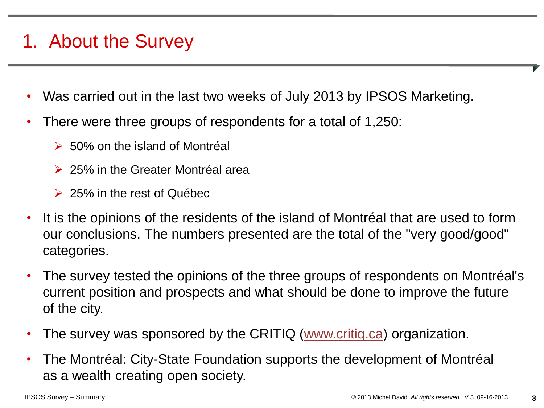# 1. About the Survey

- Was carried out in the last two weeks of July 2013 by IPSOS Marketing.
- There were three groups of respondents for a total of 1,250:
	- $\geq 50\%$  on the island of Montréal
	- **► 25% in the Greater Montréal area**
	- $\geq$  25% in the rest of Québec
- It is the opinions of the residents of the island of Montréal that are used to form our conclusions. The numbers presented are the total of the "very good/good" categories.
- The survey tested the opinions of the three groups of respondents on Montréal's current position and prospects and what should be done to improve the future of the city.
- The survey was sponsored by the CRITIQ (www.critig.ca) organization.
- The Montréal: City-State Foundation supports the development of Montréal as a wealth creating open society.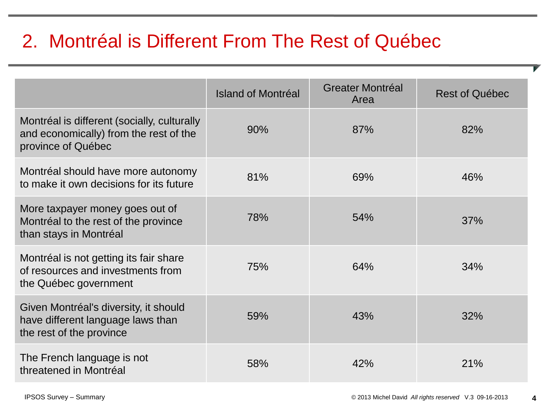# 2. Montréal is Different From The Rest of Québec

|                                                                                                             | Island of Montréal | <b>Greater Montréal</b><br>Area | <b>Rest of Québec</b> |
|-------------------------------------------------------------------------------------------------------------|--------------------|---------------------------------|-----------------------|
| Montréal is different (socially, culturally<br>and economically) from the rest of the<br>province of Québec | 90%                | 87%                             | 82%                   |
| Montréal should have more autonomy<br>to make it own decisions for its future                               | 81%                | 69%                             | 46%                   |
| More taxpayer money goes out of<br>Montréal to the rest of the province<br>than stays in Montréal           | 78%                | 54%                             | 37%                   |
| Montréal is not getting its fair share<br>of resources and investments from<br>the Québec government        | 75%                | 64%                             | 34%                   |
| Given Montréal's diversity, it should<br>have different language laws than<br>the rest of the province      | 59%                | 43%                             | 32%                   |
| The French language is not<br>threatened in Montréal                                                        | 58%                | 42%                             | 21%                   |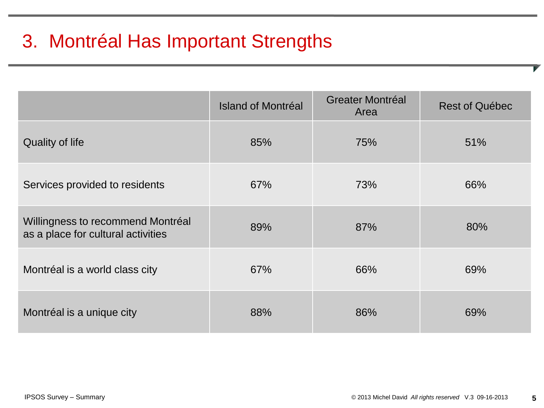# 3. Montréal Has Important Strengths

|                                                                         | <b>Island of Montréal</b> | <b>Greater Montréal</b><br>Area | <b>Rest of Québec</b> |
|-------------------------------------------------------------------------|---------------------------|---------------------------------|-----------------------|
| <b>Quality of life</b>                                                  | 85%                       | 75%                             | 51%                   |
| Services provided to residents                                          | 67%                       | 73%                             | 66%                   |
| Willingness to recommend Montréal<br>as a place for cultural activities | 89%                       | 87%                             | 80%                   |
| Montréal is a world class city                                          | 67%                       | 66%                             | 69%                   |
| Montréal is a unique city                                               | 88%                       | 86%                             | 69%                   |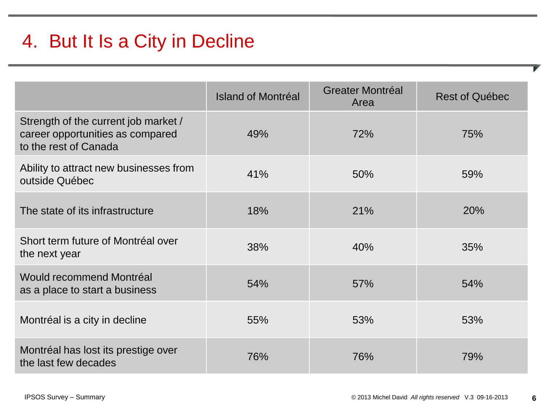# 4. But It Is a City in Decline

|                                                                                                   | Island of Montréal | <b>Greater Montréal</b><br>Area | <b>Rest of Québec</b> |
|---------------------------------------------------------------------------------------------------|--------------------|---------------------------------|-----------------------|
| Strength of the current job market /<br>career opportunities as compared<br>to the rest of Canada | 49%                | 72%                             | 75%                   |
| Ability to attract new businesses from<br>outside Québec                                          | 41%                | 50%                             | 59%                   |
| The state of its infrastructure                                                                   | 18%                | 21%                             | 20%                   |
| Short term future of Montréal over<br>the next year                                               | 38%                | 40%                             | 35%                   |
| <b>Would recommend Montréal</b><br>as a place to start a business                                 | 54%                | 57%                             | 54%                   |
| Montréal is a city in decline                                                                     | 55%                | 53%                             | 53%                   |
| Montréal has lost its prestige over<br>the last few decades                                       | 76%                | 76%                             | 79%                   |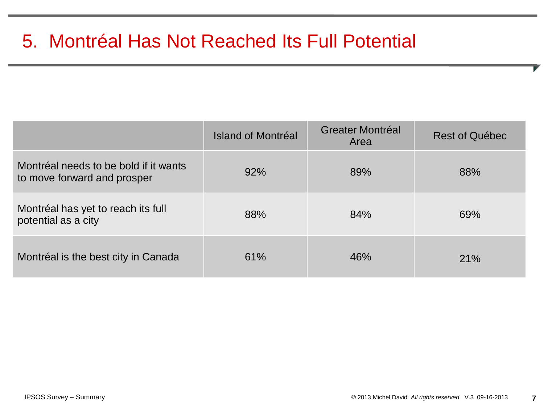# 5. Montréal Has Not Reached Its Full Potential

|                                                                      | Island of Montréal | <b>Greater Montréal</b><br>Area | <b>Rest of Québec</b> |
|----------------------------------------------------------------------|--------------------|---------------------------------|-----------------------|
| Montréal needs to be bold if it wants<br>to move forward and prosper | 92%                | 89%                             | 88%                   |
| Montréal has yet to reach its full<br>potential as a city            | 88%                | 84%                             | 69%                   |
| Montréal is the best city in Canada                                  | 61%                | 46%                             | 21%                   |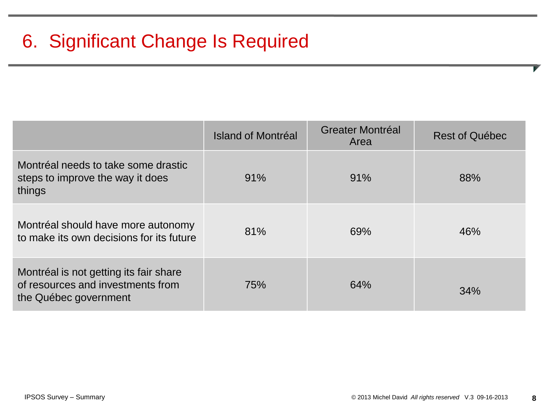|                                                                                                      | Island of Montréal | <b>Greater Montréal</b><br>Area | <b>Rest of Québec</b> |
|------------------------------------------------------------------------------------------------------|--------------------|---------------------------------|-----------------------|
| Montréal needs to take some drastic<br>steps to improve the way it does<br>things                    | 91%                | 91%                             | 88%                   |
| Montréal should have more autonomy<br>to make its own decisions for its future                       | 81%                | 69%                             | 46%                   |
| Montréal is not getting its fair share<br>of resources and investments from<br>the Québec government | 75%                | 64%                             | <b>34%</b>            |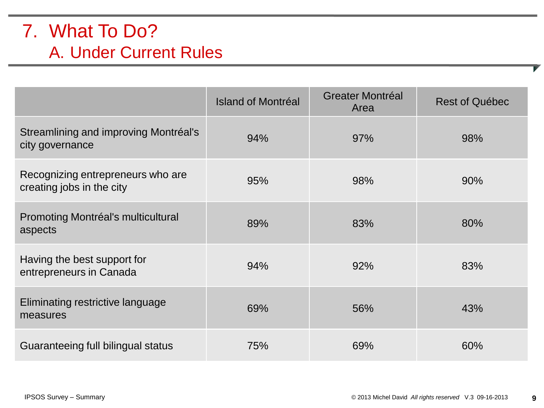#### 7. What To Do? A. Under Current Rules

|                                                                | <b>Island of Montréal</b> | <b>Greater Montréal</b><br>Area | <b>Rest of Québec</b> |
|----------------------------------------------------------------|---------------------------|---------------------------------|-----------------------|
| Streamlining and improving Montréal's<br>city governance       | 94%                       | 97%                             | 98%                   |
| Recognizing entrepreneurs who are<br>creating jobs in the city | 95%                       | 98%                             | 90%                   |
| Promoting Montréal's multicultural<br>aspects                  | 89%                       | 83%                             | 80%                   |
| Having the best support for<br>entrepreneurs in Canada         | 94%                       | 92%                             | 83%                   |
| Eliminating restrictive language<br>measures                   | 69%                       | 56%                             | 43%                   |
| Guaranteeing full bilingual status                             | 75%                       | 69%                             | 60%                   |